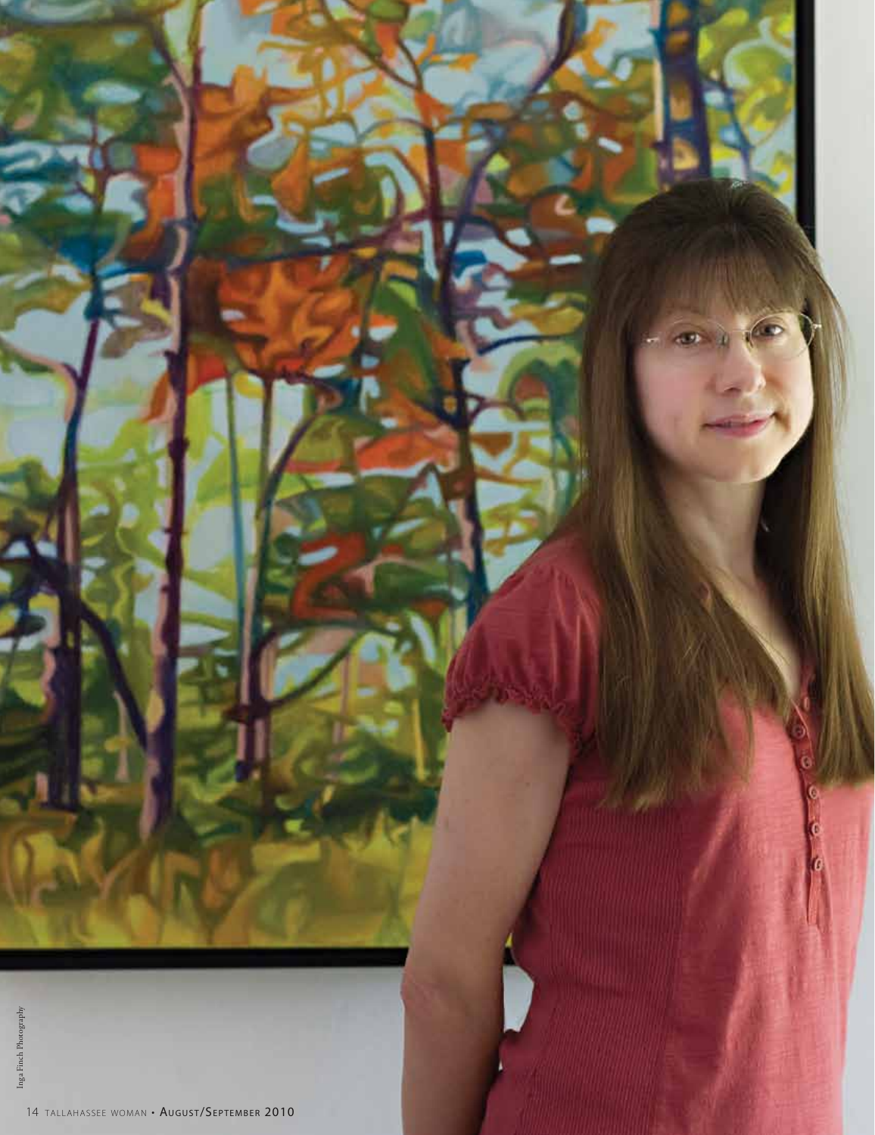